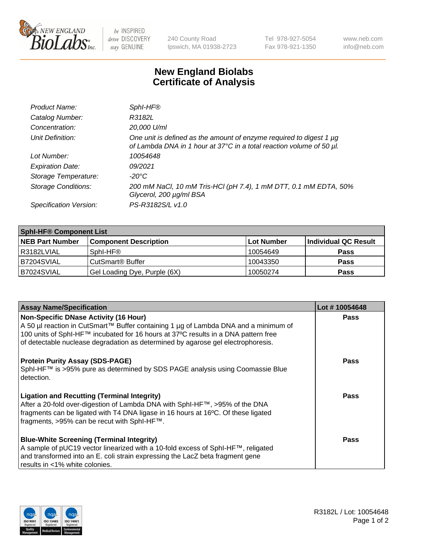

 $be$  INSPIRED drive DISCOVERY stay GENUINE

240 County Road Ipswich, MA 01938-2723 Tel 978-927-5054 Fax 978-921-1350 www.neb.com info@neb.com

## **New England Biolabs Certificate of Analysis**

| Product Name:              | Sphl-HF®                                                                                                                                         |
|----------------------------|--------------------------------------------------------------------------------------------------------------------------------------------------|
| Catalog Number:            | R3182L                                                                                                                                           |
| Concentration:             | 20,000 U/ml                                                                                                                                      |
| Unit Definition:           | One unit is defined as the amount of enzyme required to digest 1 $\mu$ g<br>of Lambda DNA in 1 hour at 37°C in a total reaction volume of 50 µl. |
| Lot Number:                | 10054648                                                                                                                                         |
| <b>Expiration Date:</b>    | 09/2021                                                                                                                                          |
| Storage Temperature:       | -20°C                                                                                                                                            |
| <b>Storage Conditions:</b> | 200 mM NaCl, 10 mM Tris-HCl (pH 7.4), 1 mM DTT, 0.1 mM EDTA, 50%<br>Glycerol, 200 µg/ml BSA                                                      |
| Specification Version:     | PS-R3182S/L v1.0                                                                                                                                 |

| <b>Sphl-HF® Component List</b> |                              |            |                      |  |
|--------------------------------|------------------------------|------------|----------------------|--|
| <b>NEB Part Number</b>         | <b>Component Description</b> | Lot Number | Individual QC Result |  |
| R3182LVIAL                     | Sphl-HF®                     | 10054649   | <b>Pass</b>          |  |
| IB7204SVIAL                    | CutSmart® Buffer             | 10043350   | <b>Pass</b>          |  |
| B7024SVIAL                     | Gel Loading Dye, Purple (6X) | 10050274   | <b>Pass</b>          |  |

| <b>Assay Name/Specification</b>                                                                                                                                                                                                                                       | Lot #10054648 |
|-----------------------------------------------------------------------------------------------------------------------------------------------------------------------------------------------------------------------------------------------------------------------|---------------|
| <b>Non-Specific DNase Activity (16 Hour)</b>                                                                                                                                                                                                                          | <b>Pass</b>   |
| A 50 µl reaction in CutSmart™ Buffer containing 1 µg of Lambda DNA and a minimum of<br>100 units of SphI-HF™ incubated for 16 hours at 37°C results in a DNA pattern free<br>of detectable nuclease degradation as determined by agarose gel electrophoresis.         |               |
| <b>Protein Purity Assay (SDS-PAGE)</b><br>SphI-HF™ is >95% pure as determined by SDS PAGE analysis using Coomassie Blue<br>detection.                                                                                                                                 | Pass          |
| <b>Ligation and Recutting (Terminal Integrity)</b><br>After a 20-fold over-digestion of Lambda DNA with SphI-HF™, >95% of the DNA<br>fragments can be ligated with T4 DNA ligase in 16 hours at 16°C. Of these ligated<br>fragments, >95% can be recut with SphI-HF™. | Pass          |
| <b>Blue-White Screening (Terminal Integrity)</b><br>A sample of pUC19 vector linearized with a 10-fold excess of SphI-HF™, religated<br>and transformed into an E. coli strain expressing the LacZ beta fragment gene<br>results in <1% white colonies.               | Pass          |